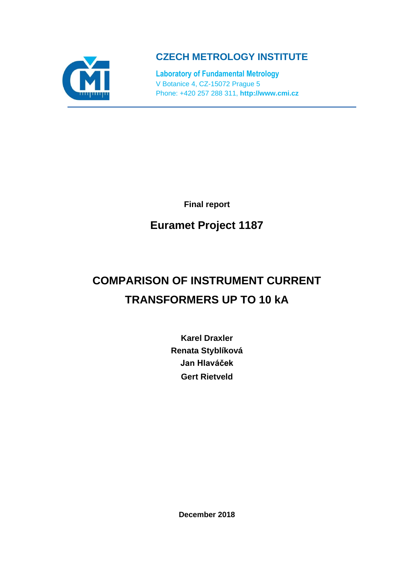

**CZECH METROLOGY INSTITUTE**

**Laboratory of Fundamental Metrology** V Botanice 4, CZ-15072 Prague 5 Phone: +420 257 288 311, **http://www.cmi.cz**

**Final report**

# **Euramet Project 1187**

# **COMPARISON OF INSTRUMENT CURRENT TRANSFORMERS UP TO 10 kA**

**Karel Draxler Renata Styblíková Jan Hlaváček Gert Rietveld**

**December 2018**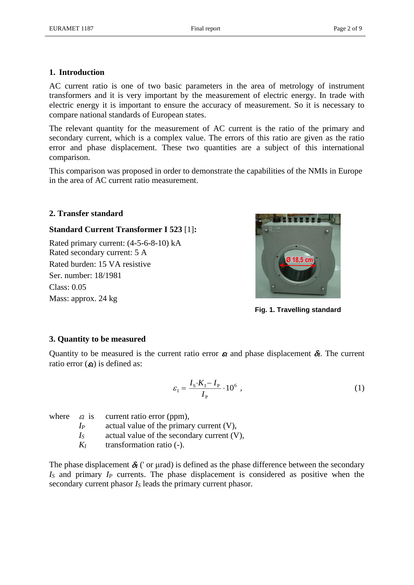# **1. Introduction**

AC current ratio is one of two basic parameters in the area of metrology of instrument transformers and it is very important by the measurement of electric energy. In trade with electric energy it is important to ensure the accuracy of measurement. So it is necessary to compare national standards of European states.

The relevant quantity for the measurement of AC current is the ratio of the primary and secondary current, which is a complex value. The errors of this ratio are given as the ratio error and phase displacement. These two quantities are a subject of this international comparison.

This comparison was proposed in order to demonstrate the capabilities of the NMIs in Europe in the area of AC current ratio measurement.

# **2. Transfer standard**

# **Standard Current Transformer I 523** [1]**:**

Rated primary current: (4-5-6-8-10) kA Rated secondary current: 5 A Rated burden: 15 VA resistive Ser. number: 18/1981 Class: 0.05 Mass: approx. 24 kg



**Fig. 1. Travelling standard**

# **3. Quantity to be measured**

Quantity to be measured is the current ratio error  $\varepsilon_I$  and phase displacement  $\delta_I$ . The current ratio error  $(g)$  is defined as:

$$
\varepsilon_{\rm I} = \frac{I_{\rm S} \cdot K_{\rm I} - I_{\rm P}}{I_{\rm P}} \cdot 10^6 \tag{1}
$$

where  $\varepsilon_I$  is current ratio error (ppm),

*I<sup>P</sup>* actual value of the primary current (V),

*I<sub>S</sub>* actual value of the secondary current (V),

*K<sup>I</sup>* transformation ratio (-).

The phase displacement  $\delta$ <sup>[</sup> (' or µrad) is defined as the phase difference between the secondary *I<sup>S</sup>* and primary *I<sup>P</sup>* currents. The phase displacement is considered as positive when the secondary current phasor *I<sup>S</sup>* leads the primary current phasor.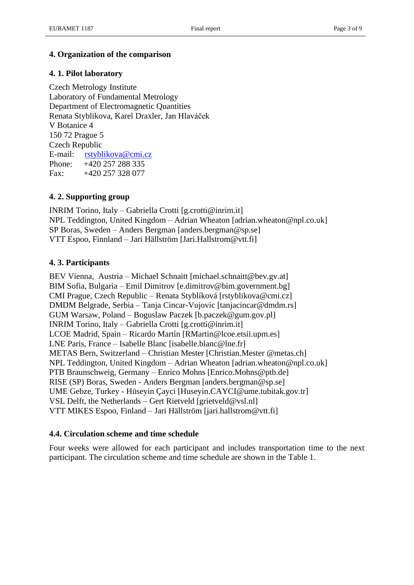# **4. Organization of the comparison**

# **4. 1. Pilot laboratory**

Czech Metrology Institute Laboratory of Fundamental Metrology Department of Electromagnetic Quantities Renata Styblikova, Karel Draxler, Jan Hlaváček V Botanice 4 150 72 Prague 5 Czech Republic E-mail: [rstyblikova@cmi.cz](mailto:jkupec@cmi.cz) Phone: +420 257 288 335 Fax:  $+420\,257\,328\,077$ 

# **4. 2. Supporting group**

INRIM Torino, Italy – Gabriella Crotti [g.crotti@inrim.it] NPL Teddington, United Kingdom – Adrian Wheaton [adrian.wheaton@npl.co.uk] SP Boras, Sweden – Anders Bergman [anders.bergman@sp.se] VTT Espoo, Finnland – Jari Hällström [Jari.Hallstrom@vtt.fi]

# **4. 3. Participants**

BEV Vienna, Austria – Michael Schnaitt [michael.schnaitt@bev.gv.at] BIM Sofia, Bulgaria – Emil Dimitrov [e.dimitrov@bim.government.bg] CMI Prague, Czech Republic – Renata Styblíková [rstyblikova@cmi.cz] DMDM Belgrade, Serbia – Tanja Cincar-Vujovic [tanjacincar@dmdm.rs] GUM Warsaw, Poland – Boguslaw Paczek [b.paczek@gum.gov.pl] INRIM Torino, Italy – Gabriella Crotti [g.crotti@inrim.it] LCOE Madrid, Spain – Ricardo Martín [RMartin@lcoe.etsii.upm.es] LNE Paris, France – Isabelle Blanc [isabelle.blanc@lne.fr] METAS Bern, Switzerland – Christian Mester [Christian.Mester @metas.ch] NPL Teddington, United Kingdom – Adrian Wheaton [adrian.wheaton@npl.co.uk] PTB Braunschweig, Germany – Enrico Mohns [Enrico.Mohns@ptb.de] RISE (SP) Boras, Sweden - Anders Bergman [anders.bergman@sp.se] UME Gebze, Turkey - Hüseyin Çayci [Huseyin.CAYCI@ume.tubitak.gov.tr] VSL Delft, the Netherlands – Gert Rietveld [grietveld@vsl.nl] VTT MIKES Espoo, Finland – Jari Hällström [jari.hallstrom@vtt.fi]

# **4.4. Circulation scheme and time schedule**

Four weeks were allowed for each participant and includes transportation time to the next participant. The circulation scheme and time schedule are shown in the Table 1.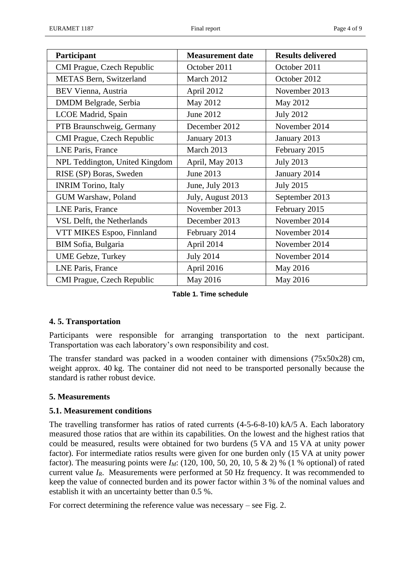| Participant                    | <b>Measurement date</b> | <b>Results delivered</b> |
|--------------------------------|-------------------------|--------------------------|
| CMI Prague, Czech Republic     | October 2011            | October 2011             |
| METAS Bern, Switzerland        | March 2012              | October 2012             |
| BEV Vienna, Austria            | April 2012              | November 2013            |
| DMDM Belgrade, Serbia          | May 2012                | May 2012                 |
| LCOE Madrid, Spain             | June 2012               | <b>July 2012</b>         |
| PTB Braunschweig, Germany      | December 2012           | November 2014            |
| CMI Prague, Czech Republic     | January 2013            | January 2013             |
| LNE Paris, France              | March 2013              | February 2015            |
| NPL Teddington, United Kingdom | April, May 2013         | <b>July 2013</b>         |
| RISE (SP) Boras, Sweden        | June 2013               | January 2014             |
| <b>INRIM Torino, Italy</b>     | June, July 2013         | <b>July 2015</b>         |
| GUM Warshaw, Poland            | July, August 2013       | September 2013           |
| LNE Paris, France              | November 2013           | February 2015            |
| VSL Delft, the Netherlands     | December 2013           | November 2014            |
| VTT MIKES Espoo, Finnland      | February 2014           | November 2014            |
| BIM Sofia, Bulgaria            | April 2014              | November 2014            |
| <b>UME Gebze, Turkey</b>       | <b>July 2014</b>        | November 2014            |
| LNE Paris, France              | April 2016              | May 2016                 |
| CMI Prague, Czech Republic     | May 2016                | May 2016                 |

**Table 1. Time schedule**

# **4. 5. Transportation**

Participants were responsible for arranging transportation to the next participant. Transportation was each laboratory's own responsibility and cost.

The transfer standard was packed in a wooden container with dimensions (75x50x28) cm, weight approx. 40 kg. The container did not need to be transported personally because the standard is rather robust device.

# **5. Measurements**

# **5.1. Measurement conditions**

The travelling transformer has ratios of rated currents (4-5-6-8-10) kA/5 A. Each laboratory measured those ratios that are within its capabilities. On the lowest and the highest ratios that could be measured, results were obtained for two burdens (5 VA and 15 VA at unity power factor). For intermediate ratios results were given for one burden only (15 VA at unity power factor). The measuring points were  $I_M$ : (120, 100, 50, 20, 10, 5 & 2) % (1 % optional) of rated current value *IR*. Measurements were performed at 50 Hz frequency. It was recommended to keep the value of connected burden and its power factor within 3 % of the nominal values and establish it with an uncertainty better than 0.5 %.

For correct determining the reference value was necessary – see Fig. 2.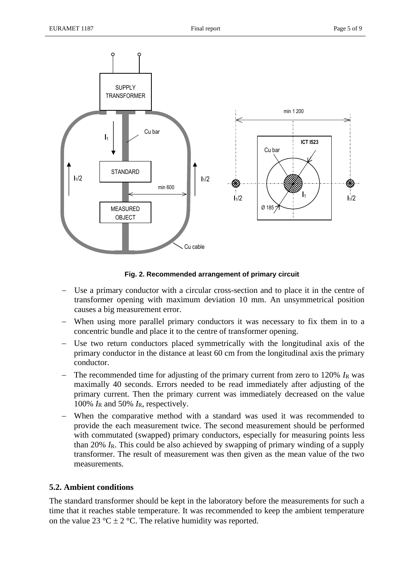

**Fig. 2. Recommended arrangement of primary circuit**

- − Use a primary conductor with a circular cross-section and to place it in the centre of transformer opening with maximum deviation 10 mm. An unsymmetrical position causes a big measurement error.
- When using more parallel primary conductors it was necessary to fix them in to a concentric bundle and place it to the centre of transformer opening.
- Use two return conductors placed symmetrically with the longitudinal axis of the primary conductor in the distance at least 60 cm from the longitudinal axis the primary conductor.
- − The recommended time for adjusting of the primary current from zero to 120% *I*<sup>R</sup> was maximally 40 seconds. Errors needed to be read immediately after adjusting of the primary current. Then the primary current was immediately decreased on the value 100%  $I_R$  and 50%  $I_R$ , respectively.
- When the comparative method with a standard was used it was recommended to provide the each measurement twice. The second measurement should be performed with commutated (swapped) primary conductors, especially for measuring points less than 20% *I*R. This could be also achieved by swapping of primary winding of a supply transformer. The result of measurement was then given as the mean value of the two measurements.

# **5.2. Ambient conditions**

The standard transformer should be kept in the laboratory before the measurements for such a time that it reaches stable temperature. It was recommended to keep the ambient temperature on the value 23 °C  $\pm$  2 °C. The relative humidity was reported.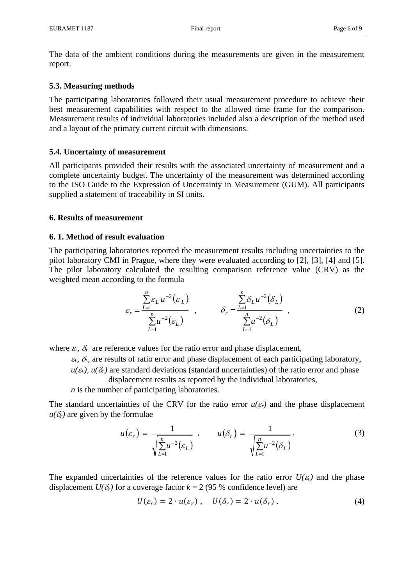The data of the ambient conditions during the measurements are given in the measurement report.

#### **5.3. Measuring methods**

The participating laboratories followed their usual measurement procedure to achieve their best measurement capabilities with respect to the allowed time frame for the comparison. Measurement results of individual laboratories included also a description of the method used and a layout of the primary current circuit with dimensions.

#### **5.4. Uncertainty of measurement**

All participants provided their results with the associated uncertainty of measurement and a complete uncertainty budget. The uncertainty of the measurement was determined according to the ISO Guide to the Expression of Uncertainty in Measurement (GUM). All participants supplied a statement of traceability in SI units.

#### **6. Results of measurement**

#### **6. 1. Method of result evaluation**

The participating laboratories reported the measurement results including uncertainties to the pilot laboratory CMI in Prague, where they were evaluated according to [2], [3], [4] and [5]. The pilot laboratory calculated the resulting comparison reference value (CRV) as the weighted mean according to the formula

$$
\varepsilon_r = \frac{\sum_{L=1}^n \varepsilon_L u^{-2} (\varepsilon_L)}{\sum_{L=1}^n u^{-2} (\varepsilon_L)}, \qquad \delta_r = \frac{\sum_{L=1}^n \delta_L u^{-2} (\delta_L)}{\sum_{L=1}^n u^{-2} (\delta_L)}, \qquad (2)
$$

where  $\varepsilon_r$ ,  $\delta_r$  are reference values for the ratio error and phase displacement,

 $\epsilon_L$ ,  $\delta_L$ , are results of ratio error and phase displacement of each participating laboratory,

 $u(\varepsilon_L)$ ,  $u(\delta_L)$  are standard deviations (standard uncertainties) of the ratio error and phase displacement results as reported by the individual laboratories,

*n* is the number of participating laboratories.

The standard uncertainties of the CRV for the ratio error  $u(\varepsilon_r)$  and the phase displacement  $u(\delta_r)$  are given by the formulae

$$
u(\varepsilon_r) = \frac{1}{\sqrt{\sum_{L=1}^{n} u^{-2}(\varepsilon_L)}} , \qquad u(\delta_r) = \frac{1}{\sqrt{\sum_{L=1}^{n} u^{-2}(\delta_L)}} .
$$
 (3)

The expanded uncertainties of the reference values for the ratio error  $U(\epsilon_r)$  and the phase displacement  $U(\delta_r)$  for a coverage factor  $k = 2$  (95 % confidence level) are

$$
U(\varepsilon_r) = 2 \cdot u(\varepsilon_r), \quad U(\delta_r) = 2 \cdot u(\delta_r). \tag{4}
$$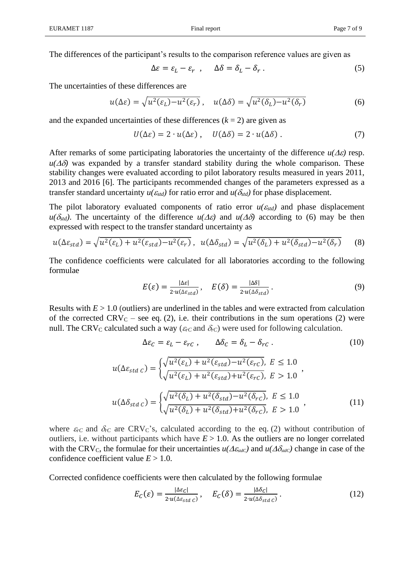$$
\Delta \varepsilon = \varepsilon_L - \varepsilon_r \ , \qquad \Delta \delta = \delta_L - \delta_r \ . \tag{5}
$$

The uncertainties of these differences are

$$
u(\Delta \varepsilon) = \sqrt{u^2(\varepsilon_L) - u^2(\varepsilon_r)}, \quad u(\Delta \delta) = \sqrt{u^2(\delta_L) - u^2(\delta_r)}
$$
(6)

and the expanded uncertainties of these differences  $(k = 2)$  are given as

$$
U(\Delta \varepsilon) = 2 \cdot u(\Delta \varepsilon), \quad U(\Delta \delta) = 2 \cdot u(\Delta \delta).
$$
 (7)

After remarks of some participating laboratories the uncertainty of the difference  $u(\Delta \varepsilon)$  resp.  $u(\Delta\delta)$  was expanded by a transfer standard stability during the whole comparison. These stability changes were evaluated according to pilot laboratory results measured in years 2011, 2013 and 2016 [6]. The participants recommended changes of the parameters expressed as a transfer standard uncertainty  $u(\epsilon_{std})$  for ratio error and  $u(\delta_{std})$  for phase displacement.

The pilot laboratory evaluated components of ratio error  $u(\epsilon_{std})$  and phase displacement  $u(\delta_{std})$ . The uncertainty of the difference  $u(\Delta \varepsilon)$  and  $u(\Delta \delta)$  according to (6) may be then expressed with respect to the transfer standard uncertainty as

$$
u(\Delta \varepsilon_{std}) = \sqrt{u^2(\varepsilon_L) + u^2(\varepsilon_{std}) - u^2(\varepsilon_r)}, \ \ u(\Delta \delta_{std}) = \sqrt{u^2(\delta_L) + u^2(\delta_{std}) - u^2(\delta_r)} \tag{8}
$$

The confidence coefficients were calculated for all laboratories according to the following formulae

$$
E(\varepsilon) = \frac{|\Delta \varepsilon|}{2 \cdot u(\Delta \varepsilon_{std})}, \quad E(\delta) = \frac{|\Delta \delta|}{2 \cdot u(\Delta \delta_{std})}.
$$
 (9)

Results with  $E > 1.0$  (outliers) are underlined in the tables and were extracted from calculation of the corrected  $CRV_C$  – see eq. (2), i.e. their contributions in the sum operations (2) were null. The CRV<sub>C</sub> calculated such a way ( $\varepsilon_{rC}$  and  $\delta_{rC}$ ) were used for following calculation.

$$
\Delta \varepsilon_C = \varepsilon_L - \varepsilon_{rC}, \qquad \Delta \delta_C = \delta_L - \delta_{rC}. \tag{10}
$$
\n
$$
u(\Delta \varepsilon_{std C}) = \begin{cases} \sqrt{u^2(\varepsilon_L) + u^2(\varepsilon_{std}) - u^2(\varepsilon_{rC})}, & E \le 1.0\\ \sqrt{u^2(\varepsilon_L) + u^2(\varepsilon_{std}) + u^2(\varepsilon_{rC})}, & E > 1.0 \end{cases},
$$
\n
$$
u(\Delta \delta_{std C}) = \begin{cases} \sqrt{u^2(\delta_L) + u^2(\delta_{std}) - u^2(\delta_{rC})}, & E \le 1.0\\ \sqrt{u^2(\delta_L) + u^2(\delta_{std}) + u^2(\delta_{rC})}, & E > 1.0 \end{cases} \tag{11}
$$

where  $\varepsilon_{rC}$  and  $\delta_{rC}$  are CRV<sub>C</sub>'s, calculated according to the eq. (2) without contribution of outliers, i.e. without participants which have  $E > 1.0$ . As the outliers are no longer correlated with the CRV<sub>C</sub>, the formulae for their uncertainties  $u(\Delta \varepsilon_{stdC})$  and  $u(\Delta \delta_{stdC})$  change in case of the confidence coefficient value  $E > 1.0$ .

Corrected confidence coefficients were then calculated by the following formulae

$$
E_C(\varepsilon) = \frac{|\Delta \varepsilon_C|}{2 \cdot u(\Delta \varepsilon_{std C})}, \quad E_C(\delta) = \frac{|\Delta \delta_C|}{2 \cdot u(\Delta \delta_{std C})}.
$$
 (12)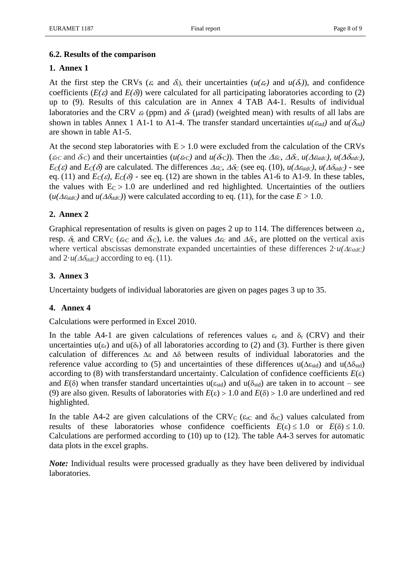# **6.2. Results of the comparison**

# **1. Annex 1**

At the first step the CRVs ( $\varepsilon$  and  $\delta$ ), their uncertainties ( $u(\varepsilon_r)$ ) and  $u(\delta_r)$ ), and confidence coefficients ( $E(\varepsilon)$  and  $E(\delta)$ ) were calculated for all participating laboratories according to (2) up to (9). Results of this calculation are in Annex 4 TAB A4-1. Results of individual laboratories and the CRV  $\varepsilon_r$  (ppm) and  $\delta_r$  (µrad) (weighted mean) with results of all labs are shown in tables Annex 1 A1-1 to A1-4. The transfer standard uncertainties  $u(\epsilon_{std})$  and  $u(\delta_{std})$ are shown in table A1-5.

At the second step laboratories with  $E > 1.0$  were excluded from the calculation of the CRVs ( $\varepsilon_{rC}$  and  $\delta_{rC}$ ) and their uncertainties ( $u(\varepsilon_{rC})$  and  $u(\delta_{rC})$ ). Then the  $\Delta \varepsilon_c$ ,  $\Delta \delta_c$ ,  $u(\Delta \varepsilon_{stdC})$ ,  $u(\Delta \delta_{stdC})$ , *EC*(*ε*) and *EC*(*δ*) are calculated. The differences  $\Delta$ *ec*,  $\Delta$ *δc* (see eq. (10),  $u(\Delta \epsilon_{std}$ *,*  $u(\Delta \delta_{std}$ ) - see eq. (11) and  $E_C(\varepsilon)$ ,  $E_C(\delta)$  - see eq. (12) are shown in the tables A1-6 to A1-9. In these tables, the values with  $E_C > 1.0$  are underlined and red highlighted. Uncertainties of the outliers  $(u(\Delta \epsilon_{stdC})$  and  $u(\Delta \delta_{stdC})$  were calculated according to eq. (11), for the case  $E > 1.0$ .

# **2. Annex 2**

Graphical representation of results is given on pages 2 up to 114. The differences between  $\varepsilon_L$ , resp.  $\delta_L$  and CRV<sub>C</sub> ( $\varepsilon_{rC}$  and  $\delta_{rC}$ ), i.e. the values  $\Delta \varepsilon_c$  and  $\Delta \delta_c$ , are plotted on the vertical axis where vertical abscissas demonstrate expanded uncertainties of these differences  $2 \cdot u(\Delta \epsilon_{stdC})$ and  $2 \cdot u(\Delta \delta_{stdC})$  according to eq. (11).

# **3. Annex 3**

Uncertainty budgets of individual laboratories are given on pages pages 3 up to 35.

# **4. Annex 4**

Calculations were performed in Excel 2010.

In the table A4-1 are given calculations of references values  $\varepsilon_r$  and  $\delta_r$  (CRV) and their uncertainties  $u(\epsilon_r)$  and  $u(\delta_r)$  of all laboratories according to (2) and (3). Further is there given calculation of differences  $\Delta \varepsilon$  and  $\Delta \delta$  between results of individual laboratories and the reference value according to (5) and uncertainties of these differences  $u(\Delta \epsilon_{std})$  and  $u(\Delta \delta_{std})$ according to (8) with transferstandard uncertainty. Calculation of confidence coefficients  $E(\varepsilon)$ and  $E(\delta)$  when transfer standard uncertainties  $u(\epsilon_{std})$  and  $u(\delta_{std})$  are taken in to account – see (9) are also given. Results of laboratories with  $E(\epsilon) > 1.0$  and  $E(\delta) > 1.0$  are underlined and red highlighted.

In the table A4-2 are given calculations of the CRV<sub>C</sub> ( $\varepsilon$ <sub>rC</sub> and  $\delta$ <sub>rC</sub>) values calculated from results of these laboratories whose confidence coefficients  $E(\varepsilon) \leq 1.0$  or  $E(\delta) \leq 1.0$ . Calculations are performed according to (10) up to (12). The table A4-3 serves for automatic data plots in the excel graphs.

*Note:* Individual results were processed gradually as they have been delivered by individual laboratories.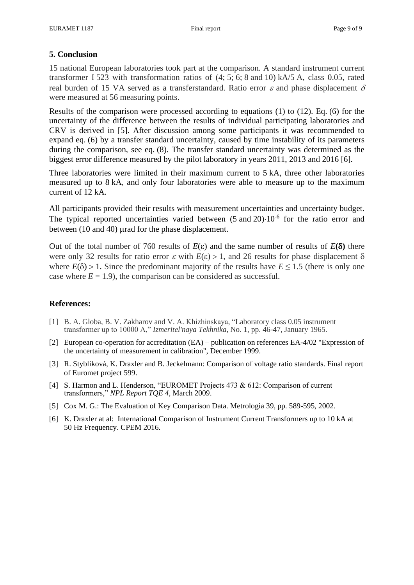# **5. Conclusion**

15 national European laboratories took part at the comparison. A standard instrument current transformer I 523 with transformation ratios of (4; 5; 6; 8 and 10) kA/5 A, class 0.05, rated real burden of 15 VA served as a transferstandard. Ratio error  $\varepsilon$  and phase displacement  $\delta$ were measured at 56 measuring points.

Results of the comparison were processed according to equations (1) to (12). Eq. (6) for the uncertainty of the difference between the results of individual participating laboratories and CRV is derived in [5]. After discussion among some participants it was recommended to expand eq. (6) by a transfer standard uncertainty, caused by time instability of its parameters during the comparison, see eq. (8). The transfer standard uncertainty was determined as the biggest error difference measured by the pilot laboratory in years 2011, 2013 and 2016 [6].

Three laboratories were limited in their maximum current to 5 kA, three other laboratories measured up to 8 kA, and only four laboratories were able to measure up to the maximum current of 12 kA.

All participants provided their results with measurement uncertainties and uncertainty budget. The typical reported uncertainties varied between  $(5 \text{ and } 20) \cdot 10^{-6}$  for the ratio error and between  $(10 \text{ and } 40)$  urad for the phase displacement.

Out of the total number of 760 results of  $E(\varepsilon)$  and the same number of results of  $E(\delta)$  there were only 32 results for ratio error  $\varepsilon$  with  $E(\varepsilon) > 1$ , and 26 results for phase displacement  $\delta$ where  $E(\delta) > 1$ . Since the predominant majority of the results have  $E \le 1.5$  (there is only one case where  $E = 1.9$ ), the comparison can be considered as successful.

#### **References:**

- [1] B. A. Globa, B. V. Zakharov and V. A. Khizhinskaya, "Laboratory class 0.05 instrument transformer up to 10000 A," *Izmeritel'naya Tekhnika*, No. 1, pp. 46-47, January 1965.
- [2] European co-operation for accreditation (EA) publication on references EA-4/02 "Expression of the uncertainty of measurement in calibration", December 1999.
- [3] R. Styblíková, K. Draxler and B. Jeckelmann: Comparison of voltage ratio standards. Final report of Euromet project 599.
- [4] S. Harmon and L. Henderson, "EUROMET Projects 473 & 612: Comparison of current transformers," *NPL Report TQE 4*, March 2009.
- [5] Cox M. G.: The Evaluation of Key Comparison Data. Metrologia 39, pp. 589-595, 2002.
- [6] K. Draxler at al: International Comparison of Instrument Current Transformers up to 10 kA at 50 Hz Frequency. CPEM 2016.